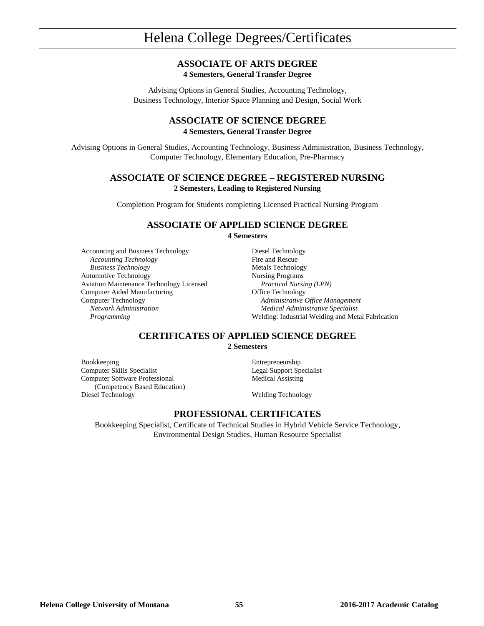# **ASSOCIATE OF ARTS DEGREE**

**4 Semesters, General Transfer Degree**

Advising Options in General Studies, Accounting Technology, Business Technology, Interior Space Planning and Design, Social Work

### **ASSOCIATE OF SCIENCE DEGREE 4 Semesters, General Transfer Degree**

Advising Options in General Studies, Accounting Technology, Business Administration, Business Technology, Computer Technology, Elementary Education, Pre-Pharmacy

## **ASSOCIATE OF SCIENCE DEGREE – REGISTERED NURSING 2 Semesters, Leading to Registered Nursing**

Completion Program for Students completing Licensed Practical Nursing Program

### **ASSOCIATE OF APPLIED SCIENCE DEGREE 4 Semesters**

Accounting and Business Technology Diesel Technology *Accounting Technology* Fire and Rescue *Business Technology* Metals Technology Automotive Technology<br>Aviation Maintenance Technology Licensed<br>*Practical Nursing (LPN)* Aviation Maintenance Technology Licensed Computer Aided Manufacturing **Computer Aided Manufacturing** Office Technology Computer Technology *Administrative Office Management Network Administration Medical Administrative Specialist*

*Programming* Welding: Industrial Welding and Metal Fabrication

# **CERTIFICATES OF APPLIED SCIENCE DEGREE**

**2 Semesters**

Bookkeeping Entrepreneurship Computer Skills Specialist Legal Support Specialist Computer Software Professional (Competency Based Education) Diesel Technology Welding Technology

Medical Assisting

# **PROFESSIONAL CERTIFICATES**

Bookkeeping Specialist, Certificate of Technical Studies in Hybrid Vehicle Service Technology, Environmental Design Studies, Human Resource Specialist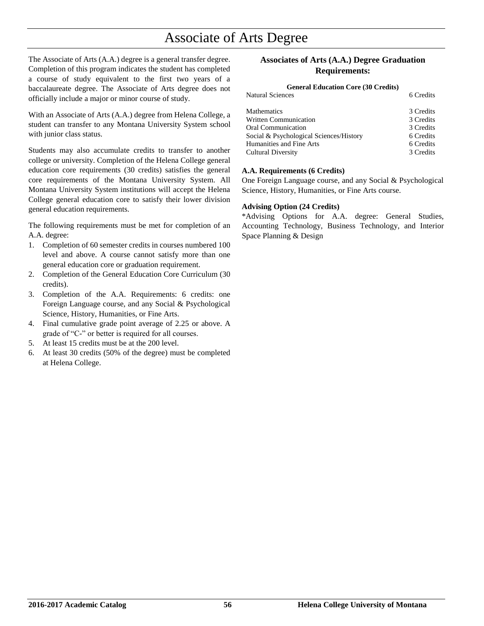# Associate of Arts Degree

The Associate of Arts (A.A.) degree is a general transfer degree. Completion of this program indicates the student has completed a course of study equivalent to the first two years of a baccalaureate degree. The Associate of Arts degree does not officially include a major or minor course of study.

With an Associate of Arts (A.A.) degree from Helena College, a student can transfer to any Montana University System school with junior class status.

Students may also accumulate credits to transfer to another college or university. Completion of the Helena College general education core requirements (30 credits) satisfies the general core requirements of the Montana University System. All Montana University System institutions will accept the Helena College general education core to satisfy their lower division general education requirements.

The following requirements must be met for completion of an A.A. degree:

- 1. Completion of 60 semester credits in courses numbered 100 level and above. A course cannot satisfy more than one general education core or graduation requirement.
- 2. Completion of the General Education Core Curriculum (30 credits).
- 3. Completion of the A.A. Requirements: 6 credits: one Foreign Language course, and any Social & Psychological Science, History, Humanities, or Fine Arts.
- 4. Final cumulative grade point average of 2.25 or above. A grade of "C-" or better is required for all courses.
- 5. At least 15 credits must be at the 200 level.
- 6. At least 30 credits (50% of the degree) must be completed at Helena College.

### **Associates of Arts (A.A.) Degree Graduation Requirements:**

### **General Education Core (30 Credits)**

| 6 Credits |
|-----------|
| 3 Credits |
| 3 Credits |
| 3 Credits |
| 6 Credits |
| 6 Credits |
| 3 Credits |
|           |

## **A.A. Requirements (6 Credits)**

One Foreign Language course, and any Social & Psychological Science, History, Humanities, or Fine Arts course.

#### **Advising Option (24 Credits)**

\*Advising Options for A.A. degree: General Studies, Accounting Technology, Business Technology, and Interior Space Planning & Design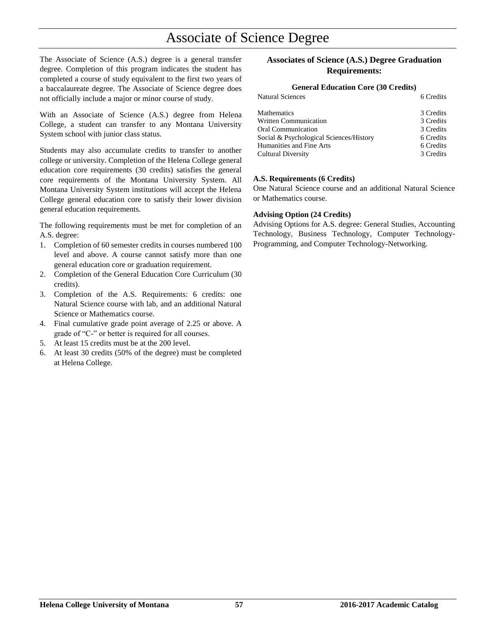# Associate of Science Degree

The Associate of Science (A.S.) degree is a general transfer degree. Completion of this program indicates the student has completed a course of study equivalent to the first two years of a baccalaureate degree. The Associate of Science degree does not officially include a major or minor course of study.

With an Associate of Science (A.S.) degree from Helena College, a student can transfer to any Montana University System school with junior class status.

Students may also accumulate credits to transfer to another college or university. Completion of the Helena College general education core requirements (30 credits) satisfies the general core requirements of the Montana University System. All Montana University System institutions will accept the Helena College general education core to satisfy their lower division general education requirements.

The following requirements must be met for completion of an A.S. degree:

- 1. Completion of 60 semester credits in courses numbered 100 level and above. A course cannot satisfy more than one general education core or graduation requirement.
- 2. Completion of the General Education Core Curriculum (30 credits).
- 3. Completion of the A.S. Requirements: 6 credits: one Natural Science course with lab, and an additional Natural Science or Mathematics course.
- 4. Final cumulative grade point average of 2.25 or above. A grade of "C-" or better is required for all courses.
- 5. At least 15 credits must be at the 200 level.
- 6. At least 30 credits (50% of the degree) must be completed at Helena College.

## **Associates of Science (A.S.) Degree Graduation Requirements:**

# **General Education Core (30 Credits)**

| <b>Natural Sciences</b>                 | 6 Credits |
|-----------------------------------------|-----------|
| <b>Mathematics</b>                      | 3 Credits |
| <b>Written Communication</b>            | 3 Credits |
| <b>Oral Communication</b>               | 3 Credits |
| Social & Psychological Sciences/History | 6 Credits |
| Humanities and Fine Arts                | 6 Credits |
| <b>Cultural Diversity</b>               | 3 Credits |

#### **A.S. Requirements (6 Credits)**

One Natural Science course and an additional Natural Science or Mathematics course.

#### **Advising Option (24 Credits)**

Advising Options for A.S. degree: General Studies, Accounting Technology, Business Technology, Computer Technology-Programming, and Computer Technology-Networking.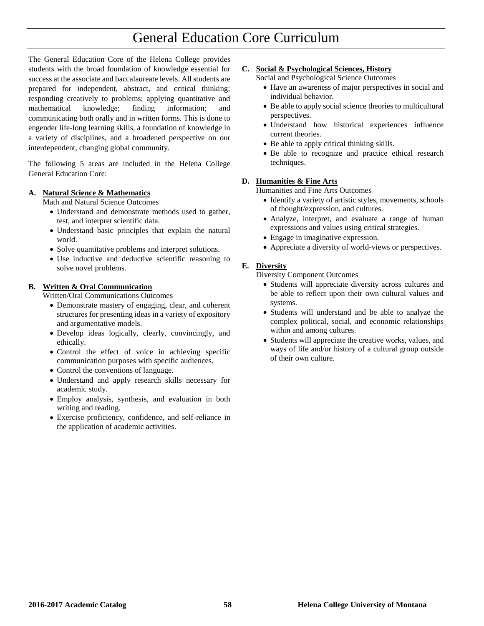# General Education Core Curriculum

The General Education Core of the Helena College provides students with the broad foundation of knowledge essential for success at the associate and baccalaureate levels. All students are prepared for independent, abstract, and critical thinking; responding creatively to problems; applying quantitative and mathematical knowledge; finding information; communicating both orally and in written forms. This is done to engender life-long learning skills, a foundation of knowledge in a variety of disciplines, and a broadened perspective on our interdependent, changing global community.

The following 5 areas are included in the Helena College General Education Core:

#### **A. Natural Science & Mathematics**

Math and Natural Science Outcomes

- Understand and demonstrate methods used to gather, test, and interpret scientific data.
- Understand basic principles that explain the natural world.
- Solve quantitative problems and interpret solutions.
- Use inductive and deductive scientific reasoning to solve novel problems.

#### **B. Written & Oral Communication**

Written/Oral Communications Outcomes

- Demonstrate mastery of engaging, clear, and coherent structures for presenting ideas in a variety of expository and argumentative models.
- Develop ideas logically, clearly, convincingly, and ethically.
- Control the effect of voice in achieving specific communication purposes with specific audiences.
- Control the conventions of language.
- Understand and apply research skills necessary for academic study.
- Employ analysis, synthesis, and evaluation in both writing and reading.
- Exercise proficiency, confidence, and self-reliance in the application of academic activities.

#### **C. Social & Psychological Sciences, History**

Social and Psychological Science Outcomes

- Have an awareness of major perspectives in social and individual behavior.
- Be able to apply social science theories to multicultural perspectives.
- Understand how historical experiences influence current theories.
- Be able to apply critical thinking skills.
- Be able to recognize and practice ethical research techniques.

#### **D. Humanities & Fine Arts**

Humanities and Fine Arts Outcomes

- Identify a variety of artistic styles, movements, schools of thought/expression, and cultures.
- Analyze, interpret, and evaluate a range of human expressions and values using critical strategies.
- Engage in imaginative expression.
- Appreciate a diversity of world-views or perspectives.

### **E. Diversity**

Diversity Component Outcomes

- Students will appreciate diversity across cultures and be able to reflect upon their own cultural values and systems.
- Students will understand and be able to analyze the complex political, social, and economic relationships within and among cultures.
- Students will appreciate the creative works, values, and ways of life and/or history of a cultural group outside of their own culture.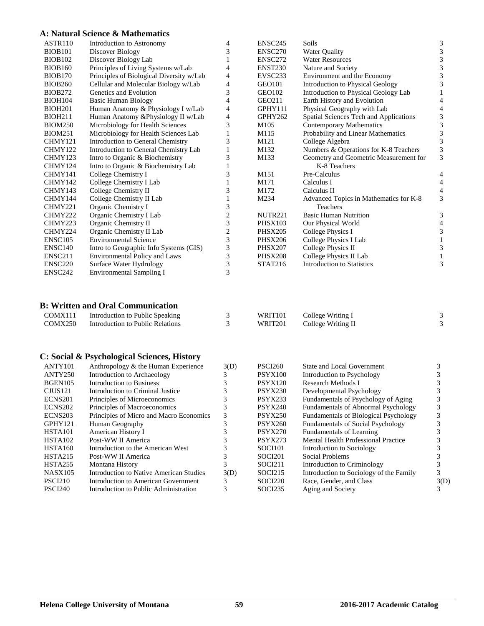## **A: Natural Science & Mathematics**

| ASTR110             | Introduction to Astronomy                | 4                       | ENSC245             | Soils                                  | 3 |
|---------------------|------------------------------------------|-------------------------|---------------------|----------------------------------------|---|
| <b>BIOB101</b>      | Discover Biology                         | 3                       | <b>ENSC270</b>      | <b>Water Quality</b>                   | 3 |
| <b>BIOB102</b>      | Discover Biology Lab                     |                         | ENSC272             | <b>Water Resources</b>                 | 3 |
| <b>BIOB160</b>      | Principles of Living Systems w/Lab       | 4                       | <b>ENST230</b>      | Nature and Society                     | 3 |
| <b>BIOB170</b>      | Principles of Biological Diversity w/Lab | 4                       | EVSC <sub>233</sub> | Environment and the Economy            | 3 |
| <b>BIOB260</b>      | Cellular and Molecular Biology w/Lab     | 4                       | GEO101              | Introduction to Physical Geology       | 3 |
| <b>BIOB272</b>      | Genetics and Evolution                   | 3                       | GEO102              | Introduction to Physical Geology Lab   |   |
| <b>BIOH104</b>      | <b>Basic Human Biology</b>               | 4                       | GEO211              | Earth History and Evolution            | 4 |
| <b>BIOH201</b>      | Human Anatomy & Physiology I w/Lab       | 4                       | GPHY111             | Physical Geography with Lab            | 4 |
| <b>BIOH211</b>      | Human Anatomy & Physiology II w/Lab      | 4                       | GPHY262             | Spatial Sciences Tech and Applications | 3 |
| <b>BIOM250</b>      | Microbiology for Health Sciences         | 3                       | M105                | <b>Contemporary Mathematics</b>        | 3 |
| <b>BIOM251</b>      | Microbiology for Health Sciences Lab     |                         | M115                | Probability and Linear Mathematics     | 3 |
| CHMY121             | Introduction to General Chemistry        | 3                       | M121                | College Algebra                        | 3 |
| CHMY122             | Introduction to General Chemistry Lab    |                         | M132                | Numbers & Operations for K-8 Teachers  | 3 |
| CHMY123             | Intro to Organic & Biochemistry          | 3                       | M133                | Geometry and Geometric Measurement for | 3 |
| CHMY124             | Intro to Organic & Biochemistry Lab      |                         |                     | K-8 Teachers                           |   |
| CHMY141             | College Chemistry I                      | 3                       | M151                | Pre-Calculus                           | 4 |
| CHMY142             | College Chemistry I Lab                  |                         | M171                | Calculus I                             | 4 |
| CHMY143             | College Chemistry II                     | 3                       | M172                | Calculus II                            | 4 |
| CHMY144             | College Chemistry II Lab                 |                         | M234                | Advanced Topics in Mathematics for K-8 | 3 |
| CHMY221             | Organic Chemistry I                      | 3                       |                     | Teachers                               |   |
| CHMY222             | Organic Chemistry I Lab                  | $\overline{\mathbf{c}}$ | <b>NUTR221</b>      | <b>Basic Human Nutrition</b>           | 3 |
| CHMY223             | Organic Chemistry II                     | 3                       | <b>PHSX103</b>      | Our Physical World                     | 4 |
| CHMY224             | Organic Chemistry II Lab                 | $\overline{c}$          | <b>PHSX205</b>      | College Physics I                      | 3 |
| ENSC105             | <b>Environmental Science</b>             | 3                       | <b>PHSX206</b>      | College Physics I Lab                  |   |
| ENSC140             | Intro to Geographic Info Systems (GIS)   | 3                       | <b>PHSX207</b>      | College Physics II                     | 3 |
| ENSC211             | Environmental Policy and Laws            | 3                       | <b>PHSX208</b>      | College Physics II Lab                 |   |
| ENSC <sub>220</sub> | Surface Water Hydrology                  | 3                       | STAT216             | <b>Introduction to Statistics</b>      | 3 |
| ENSC242             | <b>Environmental Sampling I</b>          | 3                       |                     |                                        |   |
|                     |                                          |                         |                     |                                        |   |
|                     |                                          |                         |                     |                                        |   |

# **B: Written and Oral Communication**

| COMX111 | Introduction to Public Speaking  | WRIT101 | College Writing I  |  |
|---------|----------------------------------|---------|--------------------|--|
| COMX250 | Introduction to Public Relations | WRIT201 | College Writing II |  |

# **C: Social & Psychological Sciences, History**

| ANTY101             | Anthropology & the Human Experience     | 3(D) | <b>PSCI260</b> | <b>State and Local Government</b>            |      |
|---------------------|-----------------------------------------|------|----------------|----------------------------------------------|------|
| ANTY250             | Introduction to Archaeology             |      | <b>PSYX100</b> | Introduction to Psychology                   |      |
| BGEN105             | <b>Introduction to Business</b>         |      | <b>PSYX120</b> | Research Methods I                           |      |
| CJUS121             | Introduction to Criminal Justice        |      | <b>PSYX230</b> | Developmental Psychology                     |      |
| ECNS <sub>201</sub> | Principles of Microeconomics            |      | PSYX233        | Fundamentals of Psychology of Aging          |      |
| ECNS <sub>202</sub> | Principles of Macroeconomics            |      | <b>PSYX240</b> | Fundamentals of Abnormal Psychology          |      |
| ECNS <sub>203</sub> | Principles of Micro and Macro Economics |      | <b>PSYX250</b> | <b>Fundamentals of Biological Psychology</b> |      |
| GPHY121             | Human Geography                         |      | <b>PSYX260</b> | <b>Fundamentals of Social Psychology</b>     |      |
| HSTA101             | American History I                      |      | <b>PSYX270</b> | Fundamentals of Learning                     |      |
| HSTA102             | Post-WW II America                      |      | <b>PSYX273</b> | <b>Mental Health Professional Practice</b>   |      |
| <b>HSTA160</b>      | Introduction to the American West       |      | SOCI101        | Introduction to Sociology                    |      |
| HSTA215             | Post-WW II America                      |      | SOCI201        | Social Problems                              |      |
| HSTA255             | Montana History                         |      | SOCI211        | Introduction to Criminology                  |      |
| <b>NASX105</b>      | Introduction to Native American Studies | 3(D) | SOCI215        | Introduction to Sociology of the Family      |      |
| PSCI <sub>210</sub> | Introduction to American Government     |      | SOCI220        | Race, Gender, and Class                      | 3(D) |
| PSCI <sub>240</sub> | Introduction to Public Administration   |      | SOCI235        | Aging and Society                            |      |
|                     |                                         |      |                |                                              |      |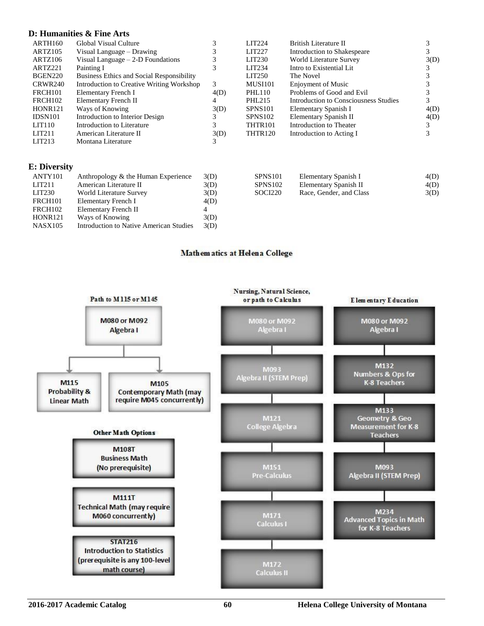#### **D: Humanities & Fine Arts**

| ARTH160             | Global Visual Culture                     |      | LIT <sub>224</sub> | British Literature II                 |      |
|---------------------|-------------------------------------------|------|--------------------|---------------------------------------|------|
| ARTZ105             | Visual Language – Drawing                 |      | <b>LIT227</b>      | Introduction to Shakespeare           |      |
| ARTZ106             | Visual Language $-2$ -D Foundations       |      | LIT <sub>230</sub> | World Literature Survey               | 3(D) |
| ARTZ221             | Painting I                                |      | LIT234             | Intro to Existential Lit              |      |
| BGEN220             | Business Ethics and Social Responsibility |      | LIT <sub>250</sub> | The Novel                             |      |
| CRWR240             | Introduction to Creative Writing Workshop | 3    | <b>MUSI101</b>     | Enjoyment of Music                    |      |
| <b>FRCH101</b>      | Elementary French I                       | 4(D) | PHL110             | Problems of Good and Evil             |      |
| FRCH <sub>102</sub> | Elementary French II                      | 4    | PHL215             | Introduction to Consciousness Studies |      |
| HONR <sub>121</sub> | Ways of Knowing                           | 3(D) | <b>SPNS101</b>     | Elementary Spanish I                  | 4(D) |
| <b>IDSN101</b>      | Introduction to Interior Design           | 3    | <b>SPNS102</b>     | Elementary Spanish II                 | 4(D) |
| LIT110              | Introduction to Literature                |      | THTR101            | Introduction to Theater               |      |
| LIT211              | American Literature II                    | 3(D) | <b>THTR120</b>     | Introduction to Acting I              |      |
| LIT <sub>213</sub>  | Montana Literature                        |      |                    |                                       |      |

#### **E: Diversity**

| ANTY101            | Anthropology & the Human Experience     | 3(D) |
|--------------------|-----------------------------------------|------|
| LIT <sub>211</sub> | American Literature II                  | 3(D) |
| LIT <sub>230</sub> | World Literature Survey                 | 3(D) |
| <b>FRCH101</b>     | Elementary French I                     | 4(D) |
| <b>FRCH102</b>     | Elementary French II                    | 4    |
| <b>HONR121</b>     | Ways of Knowing                         | 3(D) |
| <b>NASX105</b>     | Introduction to Native American Studies | 3(D) |
|                    |                                         |      |

| <b>SPNS101</b>      | Elementary Spanish I    | 4(D) |
|---------------------|-------------------------|------|
| SPNS <sub>102</sub> | Elementary Spanish II   | 4(D) |
| SOCI220             | Race, Gender, and Class | 3(D) |

## Mathem atics at Helena College